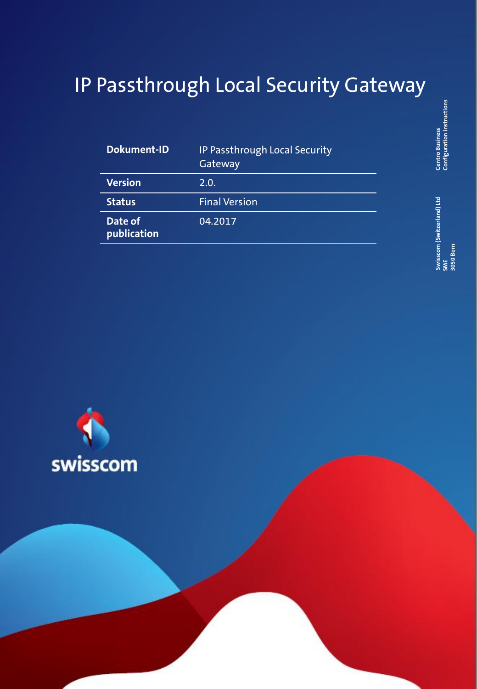## IP Passthrough Local Security Gateway

| <b>Dokument-ID</b>     | IP Passthrough Local Security<br>Gateway |
|------------------------|------------------------------------------|
| <b>Version</b>         | 2.0.                                     |
| <b>Status</b>          | <b>Final Version</b>                     |
| Date of<br>publication | 04.2017                                  |

**Centro Business**<br>Configuration instructions **Configuration instructions Centro Business** 

**Swisscom (Switzerland) Ltd**  Swisscom (Switzerland) Ltd<br>SME<br>| 3050 Bern **3050 Bern**

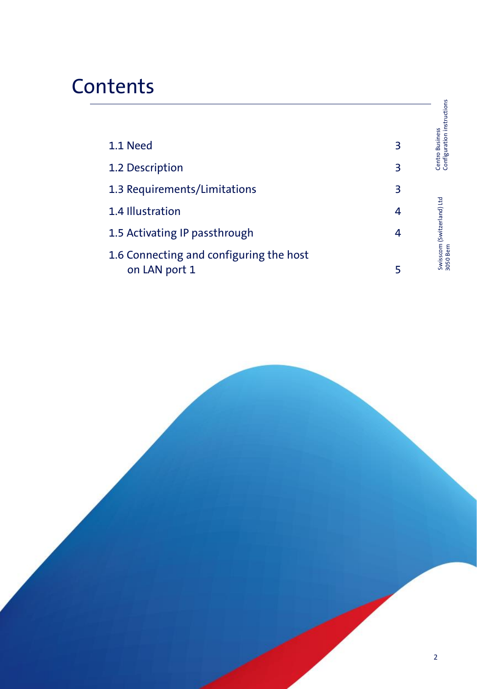## **Contents**

|                                                          |   | Configuration instructions              |
|----------------------------------------------------------|---|-----------------------------------------|
| 1.1 Need                                                 | 3 | <b>Centro Business</b>                  |
| 1.2 Description                                          | З |                                         |
| 1.3 Requirements/Limitations                             | 3 |                                         |
| 1.4 Illustration                                         | 4 |                                         |
| 1.5 Activating IP passthrough                            | 4 |                                         |
| 1.6 Connecting and configuring the host<br>on LAN port 1 | 5 | Swisscom (Switzerland) Ltd<br>3050 Bern |
|                                                          |   |                                         |

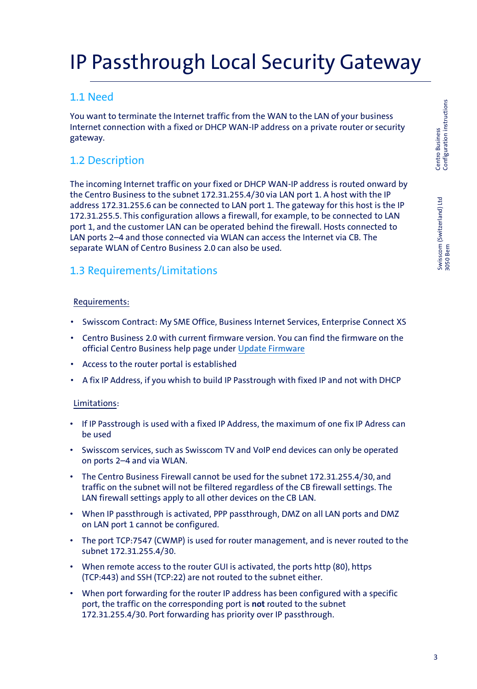Swisscom (Switzerland) Ltd 3050 Bern

Swisscom (Switzerland) Ltd<br>3050 Bern

# IP Passthrough Local Security Gateway

## 1.1 Need

You want to terminate the Internet traffic from the WAN to the LAN of your business Internet connection with a fixed or DHCP WAN-IP address on a private router or security gateway.

## 1.2 Description

The incoming Internet traffic on your fixed or DHCP WAN-IP address is routed onward by the Centro Business to the subnet 172.31.255.4/30 via LAN port 1. A host with the IP address 172.31.255.6 can be connected to LAN port 1. The gateway for this host is the IP 172.31.255.5. This configuration allows a firewall, for example, to be connected to LAN port 1, and the customer LAN can be operated behind the firewall. Hosts connected to LAN ports 2–4 and those connected via WLAN can access the Internet via CB. The separate WLAN of Centro Business 2.0 can also be used.

## 1.3 Requirements/Limitations

#### Requirements:

- Swisscom Contract: My SME Office, Business Internet Services, Enterprise Connect XS
- Centro Business 2.0 with current firmware version. You can find the firmware on the official Centro Business help page under [Update Firmware](http://www.swisscom.ch/centrobusiness2-fw)
- Access to the router portal is established
- A fix IP Address, if you whish to build IP Passtrough with fixed IP and not with DHCP

#### Limitations:

- If IP Passtrough is used with a fixed IP Address, the maximum of one fix IP Adress can be used
- Swisscom services, such as Swisscom TV and VoIP end devices can only be operated on ports 2–4 and via WLAN.
- The Centro Business Firewall cannot be used for the subnet 172.31.255.4/30, and traffic on the subnet will not be filtered regardless of the CB firewall settings. The LAN firewall settings apply to all other devices on the CB LAN.
- When IP passthrough is activated, PPP passthrough, DMZ on all LAN ports and DMZ on LAN port 1 cannot be configured.
- The port TCP:7547 (CWMP) is used for router management, and is never routed to the subnet 172.31.255.4/30.
- When remote access to the router GUI is activated, the ports http (80), https (TCP:443) and SSH (TCP:22) are not routed to the subnet either.
- When port forwarding for the router IP address has been configured with a specific port, the traffic on the corresponding port is **not** routed to the subnet 172.31.255.4/30. Port forwarding has priority over IP passthrough.